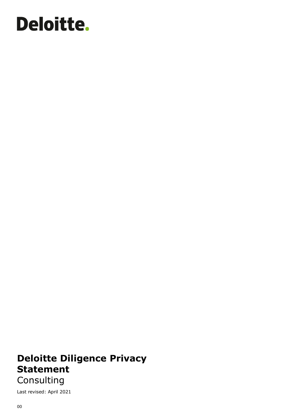# Deloitte.

## **Deloitte Diligence Privacy Statement**

Consulting

Last revised: April 2021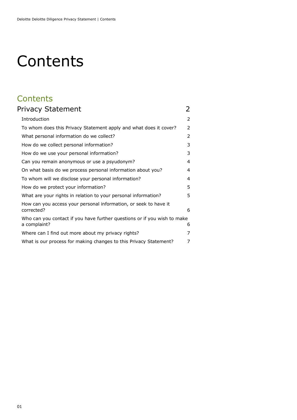# **Contents**

## **Contents**

| Privacy Statement                                                                        | 2 |
|------------------------------------------------------------------------------------------|---|
| Introduction                                                                             | 2 |
| To whom does this Privacy Statement apply and what does it cover?                        | 2 |
| What personal information do we collect?                                                 | 2 |
| How do we collect personal information?                                                  | 3 |
| How do we use your personal information?                                                 | 3 |
| Can you remain anonymous or use a psyudonym?                                             | 4 |
| On what basis do we process personal information about you?                              | 4 |
| To whom will we disclose your personal information?                                      | 4 |
| How do we protect your information?                                                      | 5 |
| What are your rights in relation to your personal information?                           | 5 |
| How can you access your personal information, or seek to have it<br>corrected?           | 6 |
| Who can you contact if you have further questions or if you wish to make<br>a complaint? | 6 |
| Where can I find out more about my privacy rights?                                       | 7 |
| What is our process for making changes to this Privacy Statement?                        | 7 |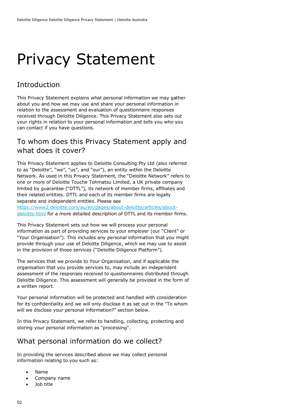## <span id="page-2-0"></span>Privacy Statement

### <span id="page-2-1"></span>Introduction

This Privacy Statement explains what personal information we may gather about you and how we may use and share your personal information in relation to the assessment and evaluation of questionnaire responses received through Deloitte Diligence. This Privacy Statement also sets out your rights in relation to your personal information and tells you who you can contact if you have questions.

#### <span id="page-2-2"></span>To whom does this Privacy Statement apply and what does it cover?

This Privacy Statement applies to Deloitte Consulting Pty Ltd (also referred to as "Deloitte", "we", "us", and "our"), an entity within the Deloitte Network. As used in this Privacy Statement, the "Deloitte Network" refers to one or more of Deloitte Touche Tohmatsu Limited, a UK private company limited by guarantee ("DTTL"), its network of member firms, affiliates and their related entities. DTTL and each of its member firms are legally separate and independent entities. Please see

[https://www2.deloitte.com/au/en/pages/about-deloitte/articles/about](https://www2.deloitte.com/au/en/pages/about-deloitte/articles/about-deloitte.html)[deloitte.html](https://www2.deloitte.com/au/en/pages/about-deloitte/articles/about-deloitte.html) for a more detailed description of DTTL and its member firms.

This Privacy Statement sets out how we will process your personal information as part of providing services to your employer (our "Client" or "Your Organisation"). This includes any personal information that you might provide through your use of Deloitte Diligence, which we may use to assist in the provision of those services ("Deloitte Diligence Platform").

The services that we provide to Your Organisation, and if applicable the organisation that you provide services to, may include an independent assessment of the responses received to questionnaires distributed through Deloitte Diligence. This assessment will generally be provided in the form of a written report.

Your personal information will be protected and handled with consideration for its confidentiality and we will only disclose it as set out in the "To whom will we disclose your personal information?" section below.

In this Privacy Statement, we refer to handling, collecting, protecting and storing your personal information as "processing".

#### <span id="page-2-3"></span>What personal information do we collect?

In providing the services described above we may collect personal information relating to you such as:

- Name
- Company name
- Job title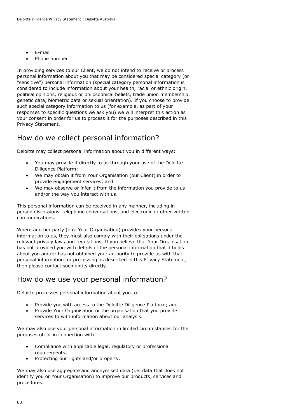- E-mail
- Phone number

In providing services to our Client, we do not intend to receive or process personal information about you that may be considered special category (or "sensitive") personal information (special category personal information is considered to include information about your health, racial or ethnic origin, political opinions, religious or philosophical beliefs, trade union membership, genetic data, biometric data or sexual orientation). If you choose to provide such special category information to us (for example, as part of your responses to specific questions we ask you) we will interpret this action as your consent in order for us to process it for the purposes described in this Privacy Statement.

#### <span id="page-3-0"></span>How do we collect personal information?

Deloitte may collect personal information about you in different ways:

- You may provide it directly to us through your use of the Deloitte Diligence Platform;
- We may obtain it from Your Organisation (our Client) in order to provide engagement services; and
- We may observe or infer it from the information you provide to us and/or the way you interact with us.

This personal information can be received in any manner, including inperson discussions, telephone conversations, and electronic or other written communications.

Where another party (e.g. Your Organisation) provides your personal information to us, they must also comply with their obligations under the relevant privacy laws and regulations. If you believe that Your Organisation has not provided you with details of the personal information that it holds about you and/or has not obtained your authority to provide us with that personal information for processing as described in this Privacy Statement, then please contact such entity directly.

#### <span id="page-3-1"></span>How do we use your personal information?

Deloitte processes personal information about you to:

- Provide you with access to the Deloitte Diligence Platform; and
- Provide Your Organisation or the organisation that you provide services to with information about our analysis.

We may also use your personal information in limited circumstances for the purposes of, or in connection with:

- Compliance with applicable legal, regulatory or professional requirements;
- Protecting our rights and/or property.

We may also use aggregate and anonymised data (i.e. data that does not identify you or Your Organisation) to improve our products, services and procedures.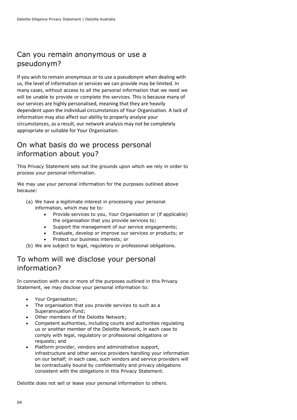### <span id="page-4-0"></span>Can you remain anonymous or use a pseudonym?

If you wish to remain anonymous or to use a pseudonym when dealing with us, the level of information or services we can provide may be limited. In many cases, without access to all the personal information that we need we will be unable to provide or complete the services. This is because many of our services are highly personalised, meaning that they are heavily dependent upon the individual circumstances of Your Organisation. A lack of information may also affect our ability to properly analyse your circumstances, as a result, our network analysis may not be completely appropriate or suitable for Your Organisation.

### <span id="page-4-1"></span>On what basis do we process personal information about you?

This Privacy Statement sets out the grounds upon which we rely in order to process your personal information.

We may use your personal information for the purposes outlined above because:

- (a) We have a legitimate interest in processing your personal information, which may be to:
	- Provide services to you, Your Organisation or (if applicable) the organisation that you provide services to;
	- Support the management of our service engagements;
	- Evaluate, develop or improve our services or products; or
	- Protect our business interests; or

(b) We are subject to legal, regulatory or professional obligations.

#### <span id="page-4-2"></span>To whom will we disclose your personal information?

In connection with one or more of the purposes outlined in this Privacy Statement, we may disclose your personal information to:

- Your Organisation;
- The organisation that you provide services to such as a Superannuation Fund;
- Other members of the Deloitte Network;
- Competent authorities, including courts and authorities regulating us or another member of the Deloitte Network, in each case to comply with legal, regulatory or professional obligations or requests; and
- Platform provider, vendors and administrative support, infrastructure and other service providers handling your information on our behalf; in each case, such vendors and service providers will be contractually bound by confidentiality and privacy obligations consistent with the obligations in this Privacy Statement.

Deloitte does not sell or lease your personal information to others.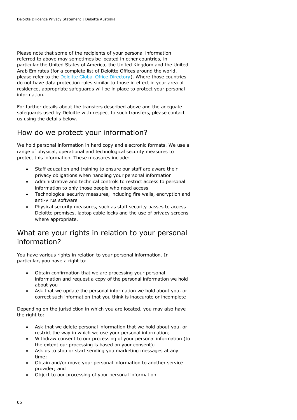Please note that some of the recipients of your personal information referred to above may sometimes be located in other countries, in particular the United States of America, the United Kingdom and the United Arab Emirates (for a complete list of Deloitte Offices around the world, please refer to the [Deloitte Global Office Directory\)](https://www2.deloitte.com/au/en/footerlinks/global-office-directory.html). Where those countries do not have data protection rules similar to those in effect in your area of residence, appropriate safeguards will be in place to protect your personal information.

For further details about the transfers described above and the adequate safeguards used by Deloitte with respect to such transfers, please contact us using the details below.

#### <span id="page-5-0"></span>How do we protect your information?

We hold personal information in hard copy and electronic formats. We use a range of physical, operational and technological security measures to protect this information. These measures include:

- Staff education and training to ensure our staff are aware their privacy obligations when handling your personal information
- Administrative and technical controls to restrict access to personal information to only those people who need access
- Technological security measures, including fire walls, encryption and anti-virus software
- Physical security measures, such as staff security passes to access Deloitte premises, laptop cable locks and the use of privacy screens where appropriate.

#### <span id="page-5-1"></span>What are your rights in relation to your personal information?

You have various rights in relation to your personal information. In particular, you have a right to:

- Obtain confirmation that we are processing your personal information and request a copy of the personal information we hold about you
- Ask that we update the personal information we hold about you, or correct such information that you think is inaccurate or incomplete

Depending on the jurisdiction in which you are located, you may also have the right to:

- Ask that we delete personal information that we hold about you, or restrict the way in which we use your personal information;
- Withdraw consent to our processing of your personal information (to the extent our processing is based on your consent);
- Ask us to stop or start sending you marketing messages at any time;
- Obtain and/or move your personal information to another service provider; and
- Object to our processing of your personal information.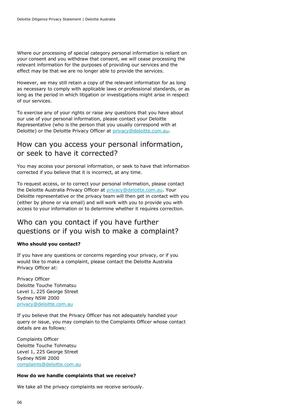Where our processing of special category personal information is reliant on your consent and you withdraw that consent, we will cease processing the relevant information for the purposes of providing our services and the effect may be that we are no longer able to provide the services.

However, we may still retain a copy of the relevant information for as long as necessary to comply with applicable laws or professional standards, or as long as the period in which litigation or investigations might arise in respect of our services.

To exercise any of your rights or raise any questions that you have about our use of your personal information, please contact your Deloitte Representative (who is the person that you usually correspond with at Deloitte) or the Deloitte Privacy Officer at [privacy@deloitte.com.au.](mailto:privacy@deloitte.com.au)

#### <span id="page-6-0"></span>How can you access your personal information, or seek to have it corrected?

You may access your personal information, or seek to have that information corrected if you believe that it is incorrect, at any time.

To request access, or to correct your personal information, please contact the Deloitte Australia Privacy Officer at [privacy@deloitte.com.au.](mailto:privacy@deloitte.com.au) Your Deloitte representative or the privacy team will then get in contact with you (either by phone or via email) and will work with you to provide you with access to your information or to determine whether it requires correction.

#### <span id="page-6-1"></span>Who can you contact if you have further questions or if you wish to make a complaint?

#### **Who should you contact?**

If you have any questions or concerns regarding your privacy, or if you would like to make a complaint, please contact the Deloitte Australia Privacy Officer at:

Privacy Officer Deloitte Touche Tohmatsu Level 1, 225 George Street Sydney NSW 2000 [privacy@deloitte.com.au](mailto:privacy@deloitte.com.au)

If you believe that the Privacy Officer has not adequately handled your query or issue, you may complain to the Complaints Officer whose contact details are as follows:

Complaints Officer Deloitte Touche Tohmatsu Level 1, 225 George Street Sydney NSW 2000 [complaints@deloitte.com.au](mailto:complaints@deloitte.com.au)

#### **How do we handle complaints that we receive?**

We take all the privacy complaints we receive seriously.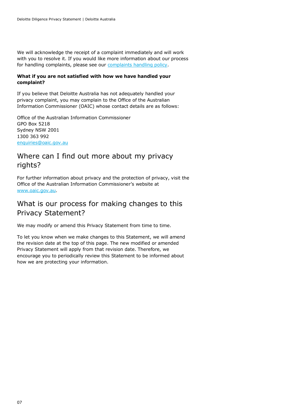We will acknowledge the receipt of a complaint immediately and will work with you to resolve it. If you would like more information about our process for handling complaints, please see our [complaints handling policy.](https://www2.deloitte.com/content/dam/Deloitte/au/Documents/about-deloitte/deloitte-au-about-complaints-management-policy-140518.pdf)

#### **What if you are not satisfied with how we have handled your complaint?**

If you believe that Deloitte Australia has not adequately handled your privacy complaint, you may complain to the Office of the Australian Information Commissioner (OAIC) whose contact details are as follows:

Office of the Australian Information Commissioner GPO Box 5218 Sydney NSW 2001 1300 363 992 [enquiries@oaic.gov.au](mailto:enquiries@oaic.gov.au)

#### <span id="page-7-0"></span>Where can I find out more about my privacy rights?

For further information about privacy and the protection of privacy, visit the Office of the Australian Information Commissioner's website at [www.oaic.gov.au.](http://www.oaic.gov.au/)

#### <span id="page-7-1"></span>What is our process for making changes to this Privacy Statement?

We may modify or amend this Privacy Statement from time to time.

To let you know when we make changes to this Statement, we will amend the revision date at the top of this page. The new modified or amended Privacy Statement will apply from that revision date. Therefore, we encourage you to periodically review this Statement to be informed about how we are protecting your information.